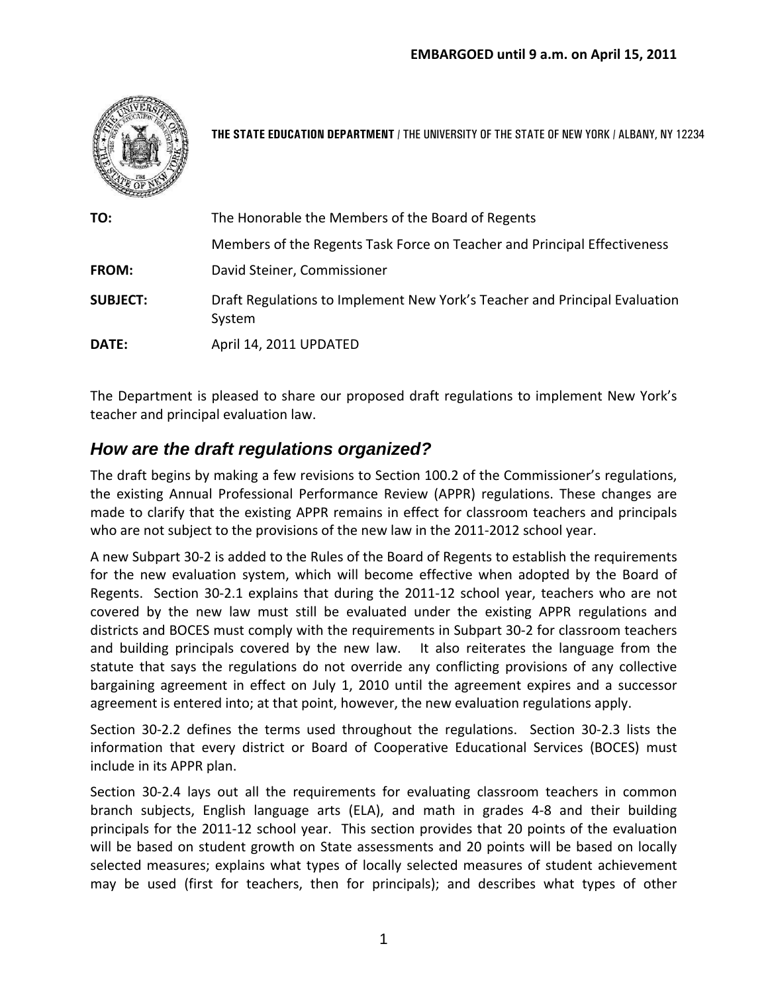

**THE STATE EDUCATION DEPARTMENT** / THE UNIVERSITY OF THE STATE OF NEW YORK / ALBANY, NY 12234

| TO:             | The Honorable the Members of the Board of Regents                                    |
|-----------------|--------------------------------------------------------------------------------------|
|                 | Members of the Regents Task Force on Teacher and Principal Effectiveness             |
| <b>FROM:</b>    | David Steiner, Commissioner                                                          |
| <b>SUBJECT:</b> | Draft Regulations to Implement New York's Teacher and Principal Evaluation<br>System |
| DATE:           | April 14, 2011 UPDATED                                                               |

The Department is pleased to share our proposed draft regulations to implement New York's teacher and principal evaluation law.

# *How are the draft regulations organized?*

The draft begins by making a few revisions to Section 100.2 of the Commissioner's regulations, the existing Annual Professional Performance Review (APPR) regulations. These changes are made to clarify that the existing APPR remains in effect for classroom teachers and principals who are not subject to the provisions of the new law in the 2011-2012 school year.

A new Subpart 30‐2 is added to the Rules of the Board of Regents to establish the requirements for the new evaluation system, which will become effective when adopted by the Board of Regents. Section 30-2.1 explains that during the 2011-12 school year, teachers who are not covered by the new law must still be evaluated under the existing APPR regulations and districts and BOCES must comply with the requirements in Subpart 30‐2 for classroom teachers and building principals covered by the new law. It also reiterates the language from the statute that says the regulations do not override any conflicting provisions of any collective bargaining agreement in effect on July 1, 2010 until the agreement expires and a successor agreement is entered into; at that point, however, the new evaluation regulations apply.

Section 30-2.2 defines the terms used throughout the regulations. Section 30-2.3 lists the information that every district or Board of Cooperative Educational Services (BOCES) must include in its APPR plan.

Section 30‐2.4 lays out all the requirements for evaluating classroom teachers in common branch subjects, English language arts (ELA), and math in grades 4‐8 and their building principals for the 2011‐12 school year. This section provides that 20 points of the evaluation will be based on student growth on State assessments and 20 points will be based on locally selected measures; explains what types of locally selected measures of student achievement may be used (first for teachers, then for principals); and describes what types of other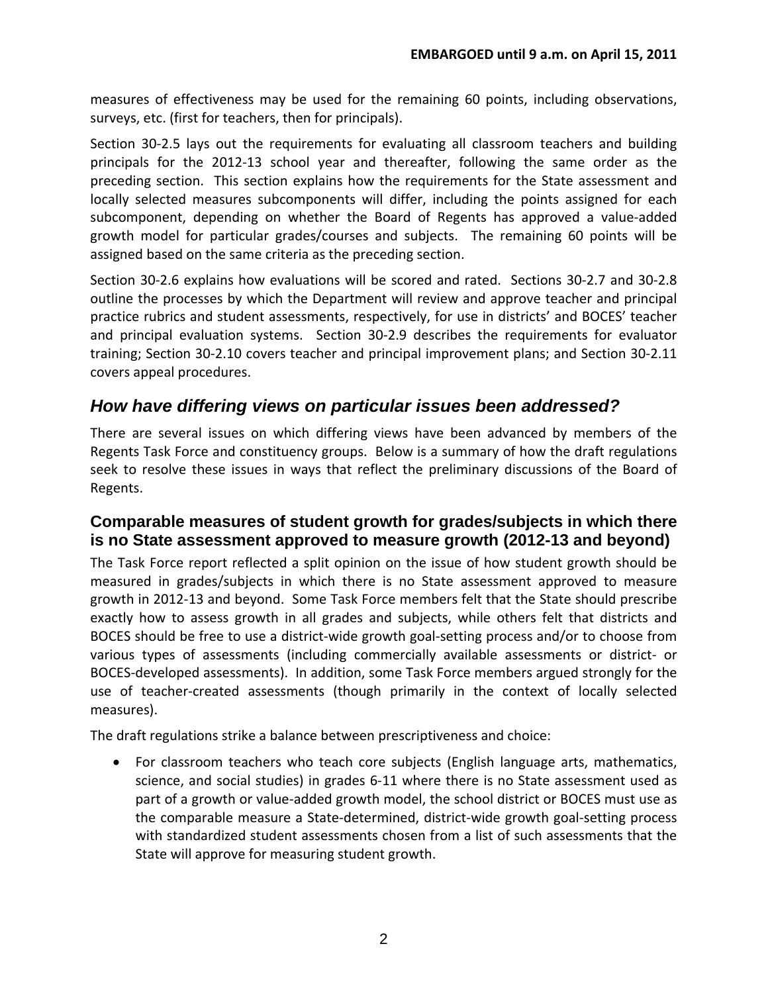measures of effectiveness may be used for the remaining 60 points, including observations, surveys, etc. (first for teachers, then for principals).

Section 30-2.5 lays out the requirements for evaluating all classroom teachers and building principals for the 2012‐13 school year and thereafter, following the same order as the preceding section. This section explains how the requirements for the State assessment and locally selected measures subcomponents will differ, including the points assigned for each subcomponent, depending on whether the Board of Regents has approved a value‐added growth model for particular grades/courses and subjects. The remaining 60 points will be assigned based on the same criteria as the preceding section.

Section 30‐2.6 explains how evaluations will be scored and rated. Sections 30‐2.7 and 30‐2.8 outline the processes by which the Department will review and approve teacher and principal practice rubrics and student assessments, respectively, for use in districts' and BOCES' teacher and principal evaluation systems. Section 30-2.9 describes the requirements for evaluator training; Section 30‐2.10 covers teacher and principal improvement plans; and Section 30‐2.11 covers appeal procedures.

# *How have differing views on particular issues been addressed?*

There are several issues on which differing views have been advanced by members of the Regents Task Force and constituency groups. Below is a summary of how the draft regulations seek to resolve these issues in ways that reflect the preliminary discussions of the Board of Regents.

## **Comparable measures of student growth for grades/subjects in which there is no State assessment approved to measure growth (2012-13 and beyond)**

The Task Force report reflected a split opinion on the issue of how student growth should be measured in grades/subjects in which there is no State assessment approved to measure growth in 2012‐13 and beyond. Some Task Force members felt that the State should prescribe exactly how to assess growth in all grades and subjects, while others felt that districts and BOCES should be free to use a district-wide growth goal-setting process and/or to choose from various types of assessments (including commercially available assessments or district‐ or BOCES‐developed assessments). In addition, some Task Force members argued strongly for the use of teacher‐created assessments (though primarily in the context of locally selected measures).

The draft regulations strike a balance between prescriptiveness and choice:

 For classroom teachers who teach core subjects (English language arts, mathematics, science, and social studies) in grades 6‐11 where there is no State assessment used as part of a growth or value‐added growth model, the school district or BOCES must use as the comparable measure a State‐determined, district‐wide growth goal‐setting process with standardized student assessments chosen from a list of such assessments that the State will approve for measuring student growth.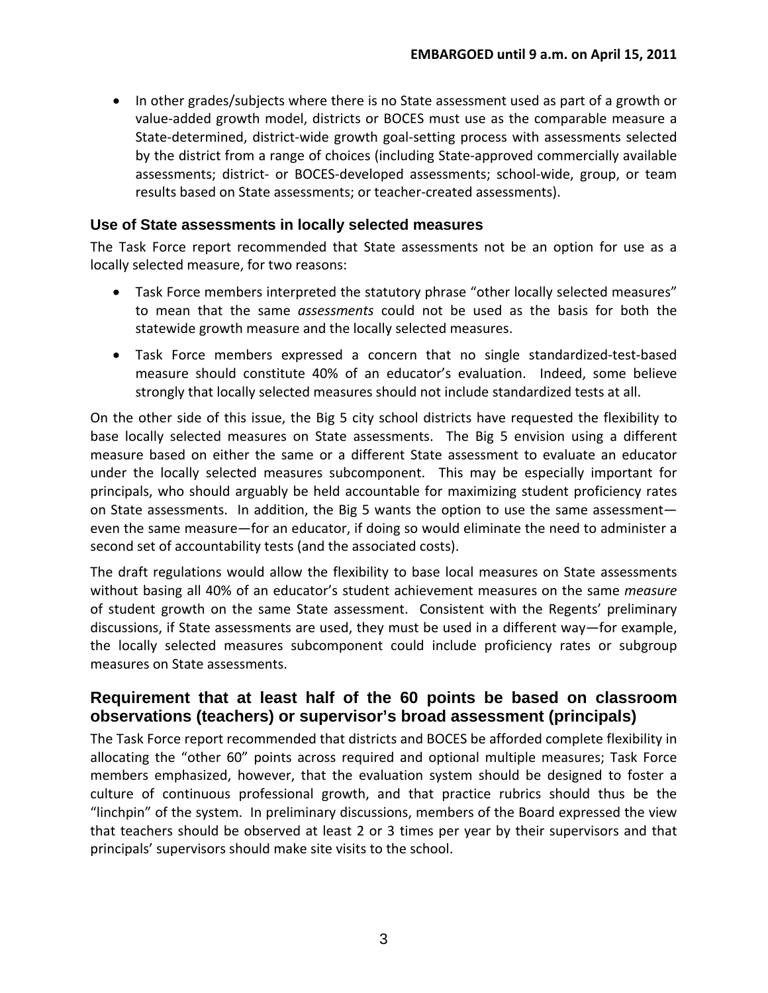• In other grades/subjects where there is no State assessment used as part of a growth or value‐added growth model, districts or BOCES must use as the comparable measure a State-determined, district-wide growth goal-setting process with assessments selected by the district from a range of choices (including State‐approved commercially available assessments; district‐ or BOCES‐developed assessments; school‐wide, group, or team results based on State assessments; or teacher‐created assessments).

#### **Use of State assessments in locally selected measures**

The Task Force report recommended that State assessments not be an option for use as a locally selected measure, for two reasons:

- Task Force members interpreted the statutory phrase "other locally selected measures" to mean that the same *assessments* could not be used as the basis for both the statewide growth measure and the locally selected measures.
- Task Force members expressed a concern that no single standardized‐test‐based measure should constitute 40% of an educator's evaluation. Indeed, some believe strongly that locally selected measures should not include standardized tests at all.

On the other side of this issue, the Big 5 city school districts have requested the flexibility to base locally selected measures on State assessments. The Big 5 envision using a different measure based on either the same or a different State assessment to evaluate an educator under the locally selected measures subcomponent. This may be especially important for principals, who should arguably be held accountable for maximizing student proficiency rates on State assessments. In addition, the Big 5 wants the option to use the same assessment even the same measure—for an educator, if doing so would eliminate the need to administer a second set of accountability tests (and the associated costs).

The draft regulations would allow the flexibility to base local measures on State assessments without basing all 40% of an educator's student achievement measures on the same *measure* of student growth on the same State assessment. Consistent with the Regents' preliminary discussions, if State assessments are used, they must be used in a different way—for example, the locally selected measures subcomponent could include proficiency rates or subgroup measures on State assessments.

### **Requirement that at least half of the 60 points be based on classroom observations (teachers) or supervisor's broad assessment (principals)**

The Task Force report recommended that districts and BOCES be afforded complete flexibility in allocating the "other 60" points across required and optional multiple measures; Task Force members emphasized, however, that the evaluation system should be designed to foster a culture of continuous professional growth, and that practice rubrics should thus be the "linchpin" of the system. In preliminary discussions, members of the Board expressed the view that teachers should be observed at least 2 or 3 times per year by their supervisors and that principals' supervisors should make site visits to the school.